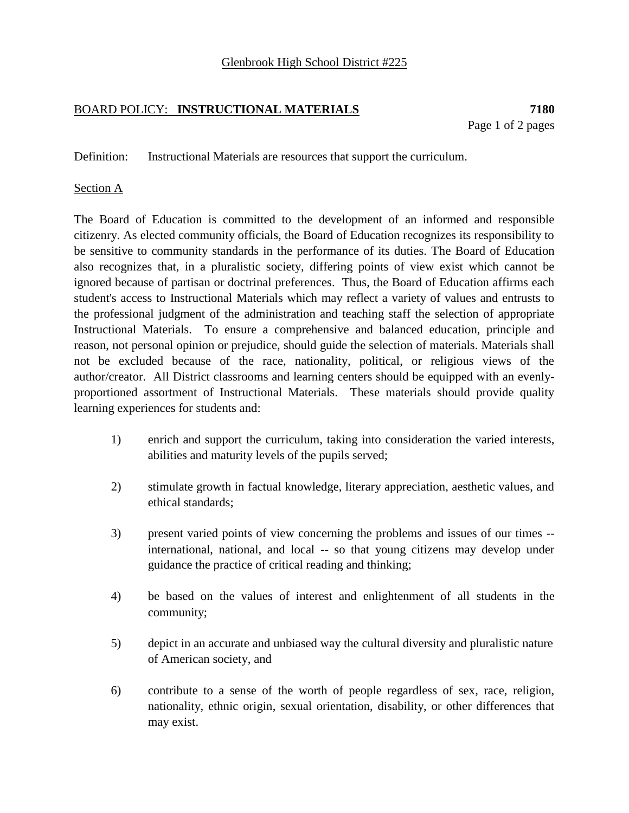# BOARD POLICY: **INSTRUCTIONAL MATERIALS 7180**

Definition: Instructional Materials are resources that support the curriculum.

### Section A

The Board of Education is committed to the development of an informed and responsible citizenry. As elected community officials, the Board of Education recognizes its responsibility to be sensitive to community standards in the performance of its duties. The Board of Education also recognizes that, in a pluralistic society, differing points of view exist which cannot be ignored because of partisan or doctrinal preferences. Thus, the Board of Education affirms each student's access to Instructional Materials which may reflect a variety of values and entrusts to the professional judgment of the administration and teaching staff the selection of appropriate Instructional Materials. To ensure a comprehensive and balanced education, principle and reason, not personal opinion or prejudice, should guide the selection of materials. Materials shall not be excluded because of the race, nationality, political, or religious views of the author/creator. All District classrooms and learning centers should be equipped with an evenlyproportioned assortment of Instructional Materials. These materials should provide quality learning experiences for students and:

- 1) enrich and support the curriculum, taking into consideration the varied interests, abilities and maturity levels of the pupils served;
- 2) stimulate growth in factual knowledge, literary appreciation, aesthetic values, and ethical standards;
- 3) present varied points of view concerning the problems and issues of our times international, national, and local -- so that young citizens may develop under guidance the practice of critical reading and thinking;
- 4) be based on the values of interest and enlightenment of all students in the community;
- 5) depict in an accurate and unbiased way the cultural diversity and pluralistic nature of American society, and
- 6) contribute to a sense of the worth of people regardless of sex, race, religion, nationality, ethnic origin, sexual orientation, disability, or other differences that may exist.